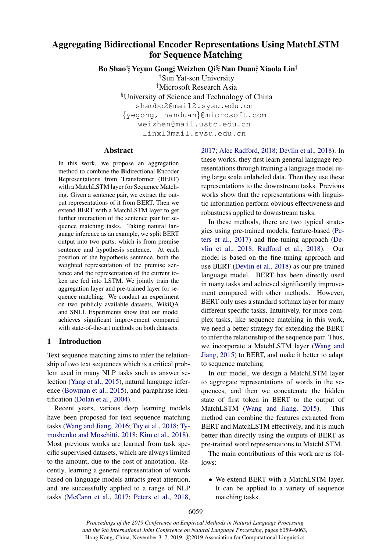# Aggregating Bidirectional Encoder Representations Using MatchLSTM for Sequence Matching

Bo Shao†‡, Yeyun Gong‡ , Weizhen Qi§‡, Nan Duan‡ , Xiaola Lin†

†Sun Yat-sen University

‡Microsoft Research Asia

§University of Science and Technology of China

shaobo2@mail2.sysu.edu.cn

{yegong, nanduan}@microsoft.com

weizhen@mail.ustc.edu.cn linxl@mail.sysu.edu.cn

### Abstract

In this work, we propose an aggregation method to combine the Bidirectional Encoder Representations from Transformer (BERT) with a MatchLSTM layer for Sequence Matching. Given a sentence pair, we extract the output representations of it from BERT. Then we extend BERT with a MatchLSTM layer to get further interaction of the sentence pair for sequence matching tasks. Taking natural language inference as an example, we split BERT output into two parts, which is from premise sentence and hypothesis sentence. At each position of the hypothesis sentence, both the weighted representation of the premise sentence and the representation of the current token are fed into LSTM. We jointly train the aggregation layer and pre-trained layer for sequence matching. We conduct an experiment on two publicly available datasets, WikiQA and SNLI. Experiments show that our model achieves significant improvement compared with state-of-the-art methods on both datasets.

### 1 Introduction

Text sequence matching aims to infer the relationship of two text sequences which is a critical problem used in many NLP tasks such as answer selection [\(Yang et al.,](#page-4-0) [2015\)](#page-4-0), natural language inference [\(Bowman et al.,](#page-4-1) [2015\)](#page-4-1), and paraphrase identification [\(Dolan et al.,](#page-4-2) [2004\)](#page-4-2).

Recent years, various deep learning models have been proposed for text sequence matching tasks [\(Wang and Jiang,](#page-4-3) [2016;](#page-4-3) [Tay et al.,](#page-4-4) [2018;](#page-4-4) [Ty](#page-4-5)[moshenko and Moschitti,](#page-4-5) [2018;](#page-4-5) [Kim et al.,](#page-4-6) [2018\)](#page-4-6). Most previous works are learned from task specific supervised datasets, which are always limited to the amount, due to the cost of annotation. Recently, learning a general representation of words based on language models attracts great attention, and are successfully applied to a range of NLP tasks [\(McCann et al.,](#page-4-7) [2017;](#page-4-7) [Peters et al.,](#page-4-8) [2018,](#page-4-8) [2017;](#page-4-9) [Alec Radford,](#page-4-10) [2018;](#page-4-10) [Devlin et al.,](#page-4-11) [2018\)](#page-4-11). In these works, they first learn general language representations through training a language model using large scale unlabeled data. Then they use these representations to the downstream tasks. Previous works show that the representations with linguistic information perform obvious effectiveness and robustness applied to downstream tasks.

In these methods, there are two typical strategies using pre-trained models, feature-based [\(Pe](#page-4-9)[ters et al.,](#page-4-9) [2017\)](#page-4-9) and fine-tuning approach [\(De](#page-4-11)[vlin et al.,](#page-4-11) [2018;](#page-4-11) [Radford et al.,](#page-4-12) [2018\)](#page-4-12). Our model is based on the fine-tuning approach and use BERT [\(Devlin et al.,](#page-4-11) [2018\)](#page-4-11) as our pre-trained language model. BERT has been directly used in many tasks and achieved significantly improvement compared with other methods. However, BERT only uses a standard softmax layer for many different specific tasks. Intuitively, for more complex tasks, like sequence matching in this work, we need a better strategy for extending the BERT to infer the relationship of the sequence pair. Thus, we incorporate a MatchLSTM layer [\(Wang and](#page-4-13) [Jiang,](#page-4-13) [2015\)](#page-4-13) to BERT, and make it better to adapt to sequence matching.

In our model, we design a MatchLSTM layer to aggregate representations of words in the sequences, and then we concatenate the hidden state of first token in BERT to the output of MatchLSTM [\(Wang and Jiang,](#page-4-13) [2015\)](#page-4-13). This method can combine the features extracted from BERT and MatchLSTM effectively, and it is much better than directly using the outputs of BERT as pre-trained word representations to MatchLSTM.

The main contributions of this work are as follows:

• We extend BERT with a MatchLSTM layer. It can be applied to a variety of sequence matching tasks.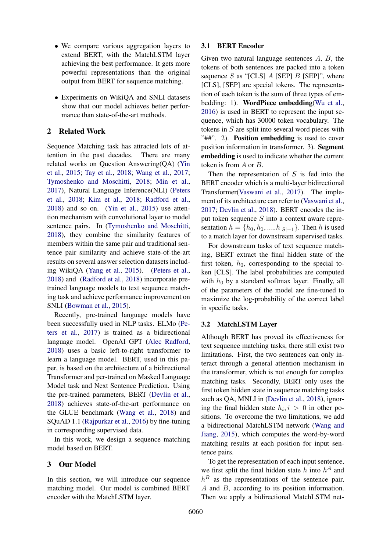- We compare various aggregation layers to extend BERT, with the MatchLSTM layer achieving the best performance. It gets more powerful representations than the original output from BERT for sequence matching.
- Experiments on WikiQA and SNLI datasets show that our model achieves better performance than state-of-the-art methods.

# 2 Related Work

Sequence Matching task has attracted lots of attention in the past decades. There are many related works on Question Answering(QA) [\(Yin](#page-4-14) [et al.,](#page-4-14) [2015;](#page-4-14) [Tay et al.,](#page-4-4) [2018;](#page-4-4) [Wang et al.,](#page-4-15) [2017;](#page-4-15) [Tymoshenko and Moschitti,](#page-4-5) [2018;](#page-4-5) [Min et al.,](#page-4-16) [2017\)](#page-4-16), Natural Language Inference(NLI) [\(Peters](#page-4-8) [et al.,](#page-4-8) [2018;](#page-4-8) [Kim et al.,](#page-4-6) [2018;](#page-4-6) [Radford et al.,](#page-4-12) [2018\)](#page-4-12) and so on. [\(Yin et al.,](#page-4-14) [2015\)](#page-4-14) use attention mechanism with convolutional layer to model sentence pairs. In [\(Tymoshenko and Moschitti,](#page-4-5) [2018\)](#page-4-5), they combine the similarity features of members within the same pair and traditional sentence pair similarity and achieve state-of-the-art results on several answer selection datasets including WikiQA [\(Yang et al.,](#page-4-0) [2015\)](#page-4-0). [\(Peters et al.,](#page-4-8) [2018\)](#page-4-8) and [\(Radford et al.,](#page-4-12) [2018\)](#page-4-12) incorporate pretrained language models to text sequence matching task and achieve performance improvement on SNLI [\(Bowman et al.,](#page-4-1) [2015\)](#page-4-1).

Recently, pre-trained language models have been successfully used in NLP tasks. ELMo [\(Pe](#page-4-9)[ters et al.,](#page-4-9) [2017\)](#page-4-9) is trained as a bidirectional language model. OpenAI GPT [\(Alec Radford,](#page-4-10) [2018\)](#page-4-10) uses a basic left-to-right transformer to learn a language model. BERT, used in this paper, is based on the architecture of a bidirectional Transformer and per-trained on Masked Language Model task and Next Sentence Prediction. Using the pre-trained parameters, BERT [\(Devlin et al.,](#page-4-11) [2018\)](#page-4-11) achieves state-of-the-art performance on the GLUE benchmark [\(Wang et al.,](#page-4-17) [2018\)](#page-4-17) and SQuAD 1.1 [\(Rajpurkar et al.,](#page-4-18) [2016\)](#page-4-18) by fine-tuning in corresponding supervised data.

In this work, we design a sequence matching model based on BERT.

# 3 Our Model

In this section, we will introduce our sequence matching model. Our model is combined BERT encoder with the MatchLSTM layer.

# 3.1 BERT Encoder

Given two natural language sentences A, B, the tokens of both sentences are packed into a token sequence  $S$  as "[CLS]  $A$  [SEP]  $B$  [SEP]", where [CLS], [SEP] are special tokens. The representation of each token is the sum of three types of em-bedding: 1). WordPiece embedding[\(Wu et al.,](#page-4-19) [2016\)](#page-4-19) is used in BERT to represent the input sequence, which has 30000 token vocabulary. The tokens in S are split into several word pieces with "##". 2). Position embedding is used to cover position information in transformer. 3). Segment embedding is used to indicate whether the current token is from A or B.

Then the representation of  $S$  is fed into the BERT encoder which is a multi-layer bidirectional Transformer[\(Vaswani et al.,](#page-4-20) [2017\)](#page-4-20). The implement of its architecture can refer to [\(Vaswani et al.,](#page-4-20) [2017;](#page-4-20) [Devlin et al.,](#page-4-11) [2018\)](#page-4-11). BERT encodes the input token sequence  $S$  into a context aware representation  $h = \{h_0, h_1, ..., h_{|S|-1}\}\.$  Then h is used to a match layer for downstream supervised tasks.

For downstream tasks of text sequence matching, BERT extract the final hidden state of the first token,  $h_0$ , corresponding to the special token [CLS]. The label probabilities are computed with  $h_0$  by a standard softmax layer. Finally, all of the parameters of the model are fine-tuned to maximize the log-probability of the correct label in specific tasks.

### 3.2 MatchLSTM Layer

Although BERT has proved its effectiveness for text sequence matching tasks, there still exist two limitations. First, the two sentences can only interact through a general attention mechanism in the transformer, which is not enough for complex matching tasks. Secondly, BERT only uses the first token hidden state in sequence matching tasks such as QA, MNLI in [\(Devlin et al.,](#page-4-11) [2018\)](#page-4-11), ignoring the final hidden state  $h_i, i > 0$  in other positions. To overcome the two limitations, we add a bidirectional MatchLSTM network [\(Wang and](#page-4-13) [Jiang,](#page-4-13) [2015\)](#page-4-13), which computes the word-by-word matching results at each position for input sentence pairs.

To get the representation of each input sentence, we first split the final hidden state  $h$  into  $h^A$  and  $h<sup>B</sup>$  as the representations of the sentence pair, A and B, according to its position information. Then we apply a bidirectional MatchLSTM net-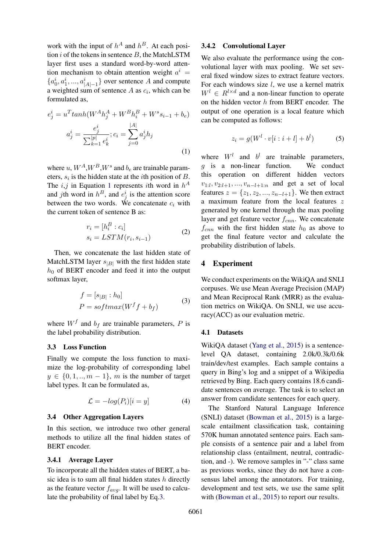work with the input of  $h^A$  and  $h^B$ . At each position i of the tokens in sentence  $B$ , the MatchLSTM layer first uses a standard word-by-word attention mechanism to obtain attention weight  $a^i =$  ${a_0^i, a_1^i, ..., a_{|A|-1}^i}$  over sentence A and compute a weighted sum of sentence  $A$  as  $c_i$ , which can be formulated as,

<span id="page-2-0"></span>
$$
e_j^i = u^T \tanh(W^A h_j^A + W^B h_i^B + W^s s_{i-1} + b_e)
$$

$$
a_j^i = \frac{e_j^i}{\sum_{k=1}^{|p|} e_k^i}; c_i = \sum_{j=0}^{|A|} a_j^i h_j
$$
(1)

where  $u, W^A, W^B, W^s$  and  $b_e$  are trainable parameters,  $s_i$  is the hidden state at the *i*th position of  $B$ . The *i*,*j* in Equation [1](#page-2-0) represents *i*th word in  $h^A$ and *j*th word in  $h^B$ , and  $e^i_j$  is the attention score between the two words. We concatenate  $c_i$  with the current token of sentence B as:

$$
r_i = [h_i^B : c_i]
$$
  
\n
$$
s_i = LSTM(r_i, s_{i-1})
$$
\n(2)

Then, we concatenate the last hidden state of MatchLSTM layer  $s_{|B|}$  with the first hidden state  $h_0$  of BERT encoder and feed it into the output softmax layer,

<span id="page-2-1"></span>
$$
f = [s_{|B|} : h_0]
$$
  

$$
P = softmax(W^f f + b_f)
$$
 (3)

where  $W^f$  and  $b_f$  are trainable parameters, P is the label probability distribution.

# 3.3 Loss Function

Finally we compute the loss function to maximize the log-probability of corresponding label  $y \in \{0, 1, \ldots, m-1\}$ , m is the number of target label types. It can be formulated as,

$$
\mathcal{L} = -log(P_i)[i = y] \tag{4}
$$

#### 3.4 Other Aggregation Layers

In this section, we introduce two other general methods to utilize all the final hidden states of BERT encoder.

#### <span id="page-2-2"></span>3.4.1 Average Layer

To incorporate all the hidden states of BERT, a basic idea is to sum all final hidden states  $h$  directly as the feature vector  $f_{avg}$ . It will be used to calculate the probability of final label by Eq[.3.](#page-2-1)

#### <span id="page-2-3"></span>3.4.2 Convolutional Layer

We also evaluate the performance using the convolutional layer with max pooling. We set several fixed window sizes to extract feature vectors. For each windows size  $l$ , we use a kernel matrix  $W^l \in R^{l \times d}$  and a non-linear function to operate on the hidden vector h from BERT encoder. The output of one operation is a local feature which can be computed as follows:

$$
z_i = g(W^l \cdot v[i:i+l] + b^l) \tag{5}
$$

where  $W^l$  and  $b^l$  are trainable parameters, g is a non-linear function. We conduct this operation on different hidden vectors  $v_{1:l}, v_{2:l+1}, ..., v_{n-l+1:n}$  and get a set of local features  $z = \{z_1, z_2, ..., z_{n-l+1}\}\$ . We then extract a maximum feature from the local features z generated by one kernel through the max pooling layer and get feature vector  $f_{cnn}$ . We concatenate  $f_{cnn}$  with the first hidden state  $h_0$  as above to get the final feature vector and calculate the probability distribution of labels.

#### 4 Experiment

We conduct experiments on the WikiQA and SNLI corpuses. We use Mean Average Precision (MAP) and Mean Reciprocal Rank (MRR) as the evaluation metrics on WikiQA. On SNLI, we use accuracy(ACC) as our evaluation metric.

#### 4.1 Datasets

WikiQA dataset [\(Yang et al.,](#page-4-0) [2015\)](#page-4-0) is a sentencelevel QA dataset, containing 2.0k/0.3k/0.6k train/dev/test examples. Each sample contains a query in Bing's log and a snippet of a Wikipedia retrieved by Bing. Each query contains 18.6 candidate sentences on average. The task is to select an answer from candidate sentences for each query.

The Stanford Natural Language Inference (SNLI) dataset [\(Bowman et al.,](#page-4-1) [2015\)](#page-4-1) is a largescale entailment classification task, containing 570K human annotated sentence pairs. Each sample consists of a sentence pair and a label from relationship class (entailment, neutral, contradiction, and -). We remove samples in "-" class same as previous works, since they do not have a consensus label among the annotators. For training, development and test sets, we use the same split with [\(Bowman et al.,](#page-4-1) [2015\)](#page-4-1) to report our results.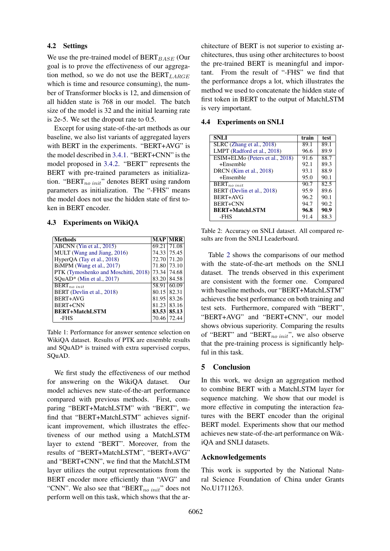# 4.2 Settings

We use the pre-trained model of  $BERT_{BASE}$  (Our goal is to prove the effectiveness of our aggregation method, so we do not use the BERT<sub>LARGE</sub> which is time and resource consuming), the number of Transformer blocks is 12, and dimension of all hidden state is 768 in our model. The batch size of the model is 32 and the initial learning rate is 2e-5. We set the dropout rate to 0.5.

Except for using state-of-the-art methods as our baseline, we also list variants of aggregated layers with BERT in the experiments. "BERT+AVG" is the model described in [3.4.1.](#page-2-2) "BERT+CNN" is the model proposed in [3.4.2.](#page-2-3) "BERT" represents the BERT with pre-trained parameters as initialization. "BERT $_{no\ init}$ " denotes BERT using random parameters as initialization. The "-FHS" means the model does not use the hidden state of first token in BERT encoder.

#### 4.3 Experiments on WikiQA

| <b>Methods</b>                       |               | <b>MAP MRR</b>     |
|--------------------------------------|---------------|--------------------|
| ABCNN (Yin et al., 2015)             | 69.21         | 171.08             |
| MULT (Wang and Jiang, 2016)          |               | 74.33 75.45        |
| HyperQA (Tay et al., 2018)           |               | 72.70 71.20        |
| BiMPM (Wang et al., 2017)            |               | 71.80 73.10        |
| PTK (Tymoshenko and Moschitti, 2018) | 73.34         | 174.68             |
| $SQuAD*$ (Min et al., 2017)          |               | 83.20184.58        |
| $\overline{\text{BERT}}_{no\ init}$  |               | 58.91 60.09        |
| BERT (Devlin et al., 2018)           | $80.15$ 82.31 |                    |
| BERT+AVG                             |               | 81.95 83.26        |
| BERT+CNN                             |               | $81.23 \mid 83.16$ |
| <b>BERT+MatchLSTM</b>                |               | 83.53 85.13        |
| -FHS                                 | 70.46         | 72.44              |

Table 1: Performance for answer sentence selection on WikiQA dataset. Results of PTK are ensemble results and SQuAD\* is trained with extra supervised corpus, SQuAD.

We first study the effectiveness of our method for answering on the WikiQA dataset. Our model achieves new state-of-the-art performance compared with previous methods. First, comparing "BERT+MatchLSTM" with "BERT", we find that "BERT+MatchLSTM" achieves significant improvement, which illustrates the effectiveness of our method using a MatchLSTM layer to extend "BERT". Moreover, from the results of "BERT+MatchLSTM", "BERT+AVG" and "BERT+CNN", we find that the MatchLSTM layer utilizes the output representations from the BERT encoder more efficiently than "AVG" and "CNN". We also see that " $BERT_{no init}$ " does not perform well on this task, which shows that the ar-

chitecture of BERT is not superior to existing architectures, thus using other architectures to boost the pre-trained BERT is meaningful and important. From the result of "-FHS" we find that the performance drops a lot, which illustrates the method we used to concatenate the hidden state of first token in BERT to the output of MatchLSTM is very important.

4.4 Experiments on SNLI

<span id="page-3-0"></span>

| <b>SNLI</b>                     | train | test |
|---------------------------------|-------|------|
| SLRC (Zhang et al., 2018)       | 89.1  | 89.1 |
| LMPT (Radford et al., 2018)     | 96.6  | 89.9 |
| ESIM+ELMo (Peters et al., 2018) | 91.6  | 88.7 |
| $+E$ nsemble                    | 92.1  | 89.3 |
| DRCN (Kim et al., 2018)         | 93.1  | 88.9 |
| $+Ensemble$                     | 95.0  | 90.1 |
| $BERT_{no\ init}$               | 90.7  | 82.5 |
| BERT (Devlin et al., 2018)      | 95.9  | 89.6 |
| BERT+AVG                        | 96.2  | 90.1 |
| <b>BERT+CNN</b>                 | 94.7  | 90.2 |
| <b>BERT+MatchLSTM</b>           | 96.8  | 90.9 |
| -FHS                            | 91.4  | 88.3 |

Table 2: Accuracy on SNLI dataset. All compared results are from the SNLI Leaderboard.

Table [2](#page-3-0) shows the comparisons of our method with the state-of-the-art methods on the SNLI dataset. The trends observed in this experiment are consistent with the former one. Compared with baseline methods, our "BERT+MatchLSTM" achieves the best performance on both training and test sets. Furthermore, compared with "BERT", "BERT+AVG" and "BERT+CNN", our model shows obvious superiority. Comparing the results of "BERT" and "BERT $_{no\ init}$ ", we also observe that the pre-training process is significantly helpful in this task.

#### 5 Conclusion

In this work, we design an aggregation method to combine BERT with a MatchLSTM layer for sequence matching. We show that our model is more effective in computing the interaction features with the BERT encoder than the original BERT model. Experiments show that our method achieves new state-of-the-art performance on WikiQA and SNLI datasets.

## Acknowledgements

This work is supported by the National Natural Science Foundation of China under Grants No.U1711263.